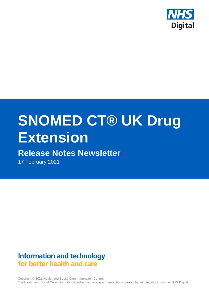

# **SNOMED CT® UK Drug Extension**

# **Release Notes Newsletter**

17 February 2021

# **Information and technology** for better health and care

Copyright © 2021 Health and Social Care Information Centre. The Health and Social Care Information Centre is a non-departmental body created by statute, also known as NHS Digital.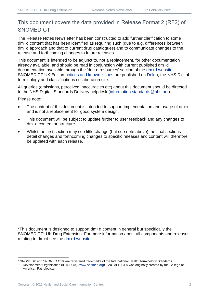## This document covers the data provided in Release Format 2 (RF2) of SNOMED CT

The Release Notes Newsletter has been constructed to add further clarification to some dm+d content that has been identified as requiring such (due to e.g. differences between dm+d approach and that of current drug catalogues) and to communicate changes to the release and forthcoming changes to future releases.

This document is intended to be adjunct to, not a replacement, for other documentation already available, and should be read in conjunction with current published dm+d documentation available through the 'dm+d resources' section of the [dm+d website.](https://www.nhsbsa.nhs.uk/pharmacies-gp-practices-and-appliance-contractors/dictionary-medicines-and-devices-dmd) SNOMED CT UK Edition [notices and known issues](https://hscic.kahootz.com/connect.ti/t_c_home/view?objectId=14224752) are published on [Delen,](https://hscic.kahootz.com/connect.ti/t_c_home) the NHS Digital terminology and classifications collaboration site.

All queries (omissions, perceived inaccuracies etc) about this document should be directed to the NHS Digital, Standards Delivery helpdesk [\(information.standards@nhs.net\)](mailto:information.standards@nhs.net).

Please note:

- The content of this document is intended to support implementation and usage of dm+d and is not a replacement for good system design.
- This document will be subject to update further to user feedback and any changes to dm+d content or structure.
- Whilst the first section may see little change (but see note above) the final sections detail changes and forthcoming changes to specific releases and content will therefore be updated with each release.

\*This document is designed to support dm+d content in general but specifically the SNOMED CT<sup>1</sup> UK Drug Extension. For more information about all components and releases relating to dm+d see the [dm+d website](https://www.nhsbsa.nhs.uk/pharmacies-gp-practices-and-appliance-contractors/dictionary-medicines-and-devices-dmd)

<sup>1</sup> SNOMED® and SNOMED CT® are registered trademarks of the International Health Terminology Standards Development Organisation (IHTSDO®) [\(www.snomed.org\)](http://www.snomed.org/). SNOMED CT® was originally created by the College of American Pathologists.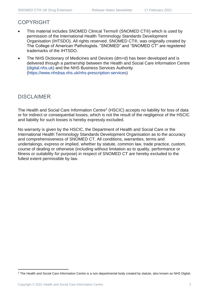## COPYRIGHT

- This material includes SNOMED Clinical Terms® (SNOMED CT®) which is used by permission of the International Health Terminology Standards Development Organisation (IHTSDO). All rights reserved. SNOMED CT®, was originally created by The College of American Pathologists. "SNOMED" and "SNOMED CT" are registered trademarks of the IHTSDO.
- The NHS Dictionary of Medicines and Devices (dm+d) has been developed and is delivered through a partnership between the Health and Social Care Information Centre [\(digital.nhs.uk\)](https://digital.nhs.uk/) and the NHS Business Services Authority [\(https://www.nhsbsa.nhs.uk/nhs-prescription-services\)](https://www.nhsbsa.nhs.uk/nhs-prescription-services)

## DISCLAIMER

The Health and Social Care Information Centre<sup>2</sup> (HSCIC) accepts no liability for loss of data or for indirect or consequential losses, which is not the result of the negligence of the HSCIC and liability for such losses is hereby expressly excluded.

No warranty is given by the HSCIC, the Department of Health and Social Care or the International Health Terminology Standards Development Organisation as to the accuracy and comprehensiveness of SNOMED CT. All conditions, warranties, terms and undertakings, express or implied, whether by statute, common law, trade practice, custom, course of dealing or otherwise (including without limitation as to quality, performance or fitness or suitability for purpose) in respect of SNOMED CT are hereby excluded to the fullest extent permissible by law.

<sup>&</sup>lt;sup>2</sup> The Health and Social Care Information Centre is a non-departmental body created by statute, also known as NHS Digital.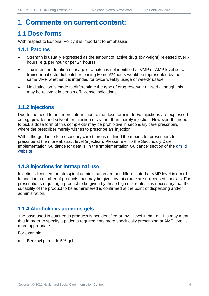## **1 Comments on current content:**

## **1.1 Dose forms**

With respect to Editorial Policy it is important to emphasise:

#### **1.1.1 Patches**

- Strength is usually expressed as the amount of 'active drug' (by weight) released over x hours (e.g. per hour or per 24 hours)
- The intended duration of usage of a patch is not identified at VMP or AMP level i.e. a transdermal estradiol patch releasing 50mcg/24hours would be represented by the same VMP whether it is intended for twice weekly usage or weekly usage
- No distinction is made to differentiate the type of drug reservoir utilised although this may be relevant in certain off-license indications.

### **1.1.2 Injections**

Due to the need to add more information to the dose form in dm+d injections are expressed as e.g. powder and solvent for injection etc rather than merely injection. However, the need to pick a dose form of this complexity may be prohibitive in secondary care prescribing where the prescriber merely wishes to prescribe an 'injection'.

Within the guidance for secondary care there is outlined the means for prescribers to prescribe at the more abstract level (injection). Please refer to the Secondary Care Implementation Guidance for details, in the 'Implementation Guidance' section of the [dm+d](https://www.nhsbsa.nhs.uk/pharmacies-gp-practices-and-appliance-contractors/dictionary-medicines-and-devices-dmd)  [website.](https://www.nhsbsa.nhs.uk/pharmacies-gp-practices-and-appliance-contractors/dictionary-medicines-and-devices-dmd)

#### **1.1.3 Injections for intraspinal use**

Injections licensed for intraspinal administration are not differentiated at VMP level in dm+d. In addition a number of products that may be given by this route are unlicensed specials. For prescriptions requiring a product to be given by these high risk routes it is necessary that the suitability of the product to be administered is confirmed at the point of dispensing and/or administration.

### **1.1.4 Alcoholic vs aqueous gels**

The base used in cutaneous products is not identified at VMP level in dm+d. This may mean that in order to specify a patients requirements more specifically prescribing at AMP level is more appropriate.

For example:

• Benzoyl peroxide 5% gel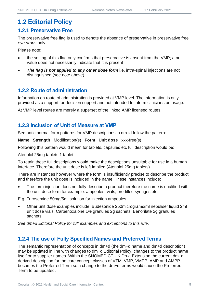## **1.2 Editorial Policy**

#### **1.2.1 Preservative Free**

The preservative free flag is used to denote the absence of preservative in preservative free *eye drops* only.

Please note:

- the setting of this flag only confirms that preservative is absent from the VMP; a null value does not necessarily indicate that it is present
- **The flag is not applied to any other dose form** i.e. intra-spinal injections are not distinguished (see note above).

#### **1.2.2 Route of administration**

Information on route of administration is provided at VMP level. The information is only provided as a support for decision support and not intended to inform clinicians on usage.

At VMP level routes are merely a superset of the linked AMP licensed routes.

#### **1.2.3 Inclusion of Unit of Measure at VMP**

Semantic normal form patterns for VMP descriptions in dm+d follow the pattern:

**Name Strength** Modification(s) **Form Unit dose** xxx-free(s)

Following this pattern would mean for tablets, capsules etc full description would be:

Atenolol 25mg tablets 1 tablet

To retain these full descriptions would make the descriptions unsuitable for use in a human interface. Therefore the unit dose is left implied (Atenolol 25mg tablets).

There are instances however where the form is insufficiently precise to describe the product and therefore the unit dose is included in the name. These instances include:

The form injection does not fully describe a product therefore the name is qualified with the unit dose form for example: ampoules, vials, pre-filled syringes etc.

E.g. Furosemide 50mg/5ml solution for injection ampoules.

• Other unit dose examples include: Budesonide 250micrograms/ml nebuliser liquid 2ml unit dose vials, Carbenoxalone 1% granules 2g sachets, Benorilate 2g granules sachets.

*See dm+d Editorial Policy for full examples and exceptions to this rule.*

#### **1.2.4 The use of Fully Specified Names and Preferred Terms**

The semantic representation of concepts in dm+d (the dm+d name and dm+d description) may be updated in line with changes to dm+d Editorial Policy, changes to the product name itself or to supplier names. Within the SNOMED CT UK Drug Extension the current dm+d derived description for the core concept classes of VTM, VMP, VMPP, AMP and AMPP becomes the Preferred Term so a change to the dm+d terms would cause the Preferred Term to be updated.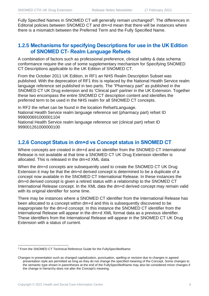Fully Specified Names in SNOMED CT will generally remain unchanged<sup>3</sup>. The differences in Editorial policies between SNOMED CT and dm+d mean that there will be instances where there is a mismatch between the Preferred Term and the Fully Specified Name.

#### **1.2.5 Mechanisms for specifying Descriptions for use in the UK Edition of SNOMED CT- Realm Language Refsets**

A combination of factors such as professional preference, clinical safety & data schema conformance require the use of some supplementary mechanism for Specifying SNOMED CT Descriptions applicable to the UK Edition of SNOMED CT.

From the October 2011 UK Edition, in RF1 an NHS Realm Description Subset was published. With the deprecation of RF1 this is replaced by the National Health Service realm language reference set published in two parts. The "Pharmacy part" as published in the SNOMED CT UK Drug extension and its 'Clinical part' partner in the UK Extension. Together these two encompass the entire SNOMED CT description content and identifies the preferred term to be used in the NHS realm for all SNOMED CT concepts.

In RF2 the refset can be found in the location Refset\Language. National Health Service realm language reference set (pharmacy part) refset ID 999000691000001104

National Health Service realm language reference set (clinical part) refset ID 999001261000000100

### **1.2.6 Concept Status in dm+d vs Concept status in SNOMED CT**

Where concepts are created in dm+d and an identifier from the SNOMED CT International Release is not available at that time a SNOMED CT UK Drug Extension identifier is allocated. This is released in the dm+d XML data.

When the dm+d concepts are subsequently used to create the SNOMED CT UK Drug Extension it may be that the dm+d derived concept is determined to be a duplicate of a concept now available in the SNOMED CT International Release. In these instances the dm+d derived concept is given a retired status with a relationship to the SNOMED CT International Release concept. In the XML data the dm+d derived concept may remain valid with its original identifier for some time.

There may be instances where a SNOMED CT identifier from the International Release has been allocated to a concept within dm+d and this is subsequently discovered to be inappropriate for the dm+d concept. In this instance the SNOMED CT identifier from the International Release will appear in the dm+d XML format data as a previous identifier. These identifiers from the International Release will appear in the SNOMED CT UK Drug Extension with a status of current.

<sup>3</sup> From the SNOMED CT Technical Reference Guide for the FullySpecifiedName:

Changes in presentation such as changed capitalization, punctuation, spelling or revision due to changes in agreed presentation style are permitted as long as they do not change the specified meaning of the Concept. Some changes to the semantic type shown in parentheses at the end of the FullySpecifiedName may also be considered minor changes if the change in hierarchy does not alter the Concept's meaning.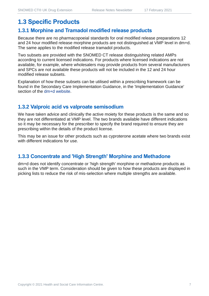## **1.3 Specific Products**

#### **1.3.1 Morphine and Tramadol modified release products**

Because there are no pharmacopoeial standards for oral modified release preparations 12 and 24 hour modified release morphine products are not distinguished at VMP level in dm+d. The same applies to the modified release tramadol products.

Two subsets are provided with the SNOMED CT release distinguishing related AMPs according to current licensed indications. For products where licensed indications are not available, for example, where wholesalers may provide products from several manufacturers and SPCs are not available these products will not be included in the 12 and 24 hour modified release subsets.

Explanation of how these subsets can be utilised within a prescribing framework can be found in the Secondary Care Implementation Guidance, in the 'Implementation Guidance' section of the [dm+d website.](https://www.nhsbsa.nhs.uk/pharmacies-gp-practices-and-appliance-contractors/dictionary-medicines-and-devices-dmd)

### **1.3.2 Valproic acid vs valproate semisodium**

We have taken advice and clinically the active moiety for these products is the same and so they are not differentiated at VMP level. The two brands available have different indications so it may be necessary for the prescriber to specify the brand required to ensure they are prescribing within the details of the product license.

This may be an issue for other products such as cyproterone acetate where two brands exist with different indications for use.

#### **1.3.3 Concentrate and 'High Strength' Morphine and Methadone**

dm+d does not identify concentrate or 'high strength' morphine or methadone products as such in the VMP term. Consideration should be given to how these products are displayed in picking lists to reduce the risk of mis-selection where multiple strengths are available.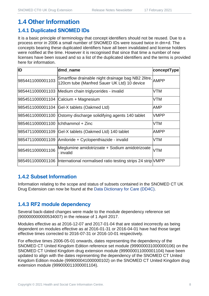## **1.4 Other Information**

### **1.4.1 Duplicated SNOMED IDs**

It is a basic principle of terminology that concept identifiers should not be reused. Due to a process error in 2006 a small number of SNOMED IDs were issued twice in dm+d. The concepts bearing these duplicated identifiers have all been invalidated and license holders were notified at the time. However it is recognised that since that time a number of new licenses have been issued and so a list of the duplicated identifiers and the terms is provided here for information.

| ID                                   | dmd_name                                                                                               | conceptType |
|--------------------------------------|--------------------------------------------------------------------------------------------------------|-------------|
| 9854411000001103                     | Smartflow drainable night drainage bag NB2 2litre, AMPP<br>120cm tube (Manfred Sauer UK Ltd) 10 device |             |
|                                      | 9854411000001103 Medium chain triglycerides - invalid                                                  | VTM         |
|                                      | 9854511000001104 Calcium + Magnesium                                                                   | VTM         |
|                                      | 9854511000001104 Gel-X tablets (Oakmed Ltd)                                                            | AMP         |
|                                      | 9854611000001100 Ostomy discharge solidifying agents 140 tablet                                        | <b>VMPP</b> |
| 9854611000001100   Ichthammol + Zinc |                                                                                                        | VTM         |
|                                      | 9854711000001109 Gel-X tablets (Oakmed Ltd) 140 tablet                                                 | AMPP        |
|                                      | 9854711000001109 Amiloride + Cyclopenthiazide - invalid                                                | VTM         |
| 9854911000001106                     | Meglumine amidotrizoate + Sodium amidotrizoate<br>- invalid                                            | <b>VTM</b>  |
|                                      | 9854911000001106  International normalised ratio testing strips 24 strip VMPP                          |             |

### **1.4.2 Subset Information**

Information relating to the scope and status of subsets contained in the SNOMED CT UK Drug Extension can now be found at the [Data Dictionary for Care \(DD4C\).](https://dd4c.digital.nhs.uk/dd4c/)

## **1.4.3 RF2 module dependency**

Several back-dated changes were made to the module dependency reference set (900000000000534007) in the release of 1 April 2017.

Modules effective as at 2016-12-07 and 2017-01-04 that are stated incorrectly as being dependent on modules effective as at 2016-01-31 or 2016-04-01 have had those target effective times corrected to 2016-07-31 or 2016-10-01 respectively.

For effective times 2006-05-01 onwards, dates representing the dependency of the SNOMED CT United Kingdom Edition reference set module (999000031000000106) on the SNOMED CT United Kingdom drug extension module (999000011000001104) have been updated to align with the dates representing the dependency of the SNOMED CT United Kingdom Edition module (999000041000000102) on the SNOMED CT United Kingdom drug extension module (999000011000001104).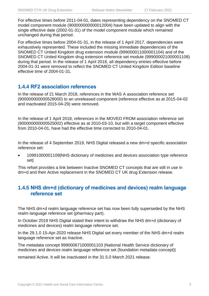For effective times before 2011-04-01, dates representing dependency on the SNOMED CT model component module (900000000000012004) have been updated to align with the single effective date (2002-01-31) of the model component module which remained unchanged during that period.

For effective times before 2004-01-31, in the release of 1 April 2017, dependencies were exhaustively represented. These included the missing immediate dependencies of the SNOMED CT United Kingdom drug extension module (999000011000001104) and of the SNOMED CT United Kingdom drug extension reference set module (999000021000001108) during that period. In the release of 1 April 2018, all dependency entries effective before 2004-01-31 were removed to reflect the SNOMED CT United Kingdom Edition baseline effective time of 2004-01-31.

#### **1.4.4 RF2 association references**

In the release of 21 March 2018, references in the WAS A association reference set (900000000000528000) to an unreleased component (reference effective as at 2015-04-02 and inactivated 2015-04-29) were removed.

In the release of 1 April 2018, references in the MOVED FROM association reference set (900000000000525002) effective as at 2010-03-10, but with a target component effective from 2010-04-01, have had the effective time corrected to 2010-04-01.

In the release of 4 September 2019, NHS Digital released a new dm+d specific association reference set:

• 10991000001109|NHS dictionary of medicines and devices association type reference set|

This refset provides a link between Inactive SNOMED CT concepts that are still in use in dm+d and their Active replacement in the SNOMED CT UK drug Extension release.

### **1.4.5 NHS dm+d (dictionary of medicines and devices) realm language reference set**

The NHS dm+d realm language reference set has now been fully superseded by the NHS realm language reference set (pharmacy part).

In October 2019 NHS Digital stated their intent to withdraw the NHS dm+d (dictionary of medicines and devices) realm language reference set.

In the 29.1.0 15-Apr-2020 release NHS Digital set every member of the NHS dm+d realm language reference set as Inactive.

The metadata concept 999000671000001103 |National Health Service dictionary of medicines and devices realm language reference set (foundation metadata concept)|

remained Active. It will be inactivated in the 31.5.0 March 2021 release.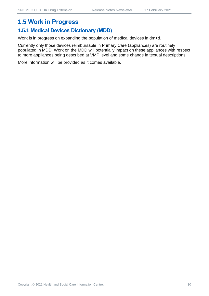## **1.5 Work in Progress**

## **1.5.1 Medical Devices Dictionary (MDD)**

Work is in progress on expanding the population of medical devices in dm+d.

Currently only those devices reimbursable in Primary Care (appliances) are routinely populated in MDD. Work on the MDD will potentially impact on these appliances with respect to more appliances being described at VMP level and some change in textual descriptions.

More information will be provided as it comes available.